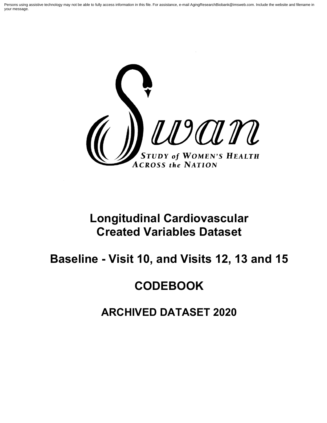Persons using assistive technology may not be able to fully access information in this file. For assistance, e-mail AgingResearchBiobank@imsweb.com. Include the website and filename in your message.



# **Longitudinal Cardiovascular Created Variables Dataset**

# **Baseline - Visit 10, and Visits 12, 13 and 15**

# **CODEBOOK**

**ARCHIVED DATASET 2020**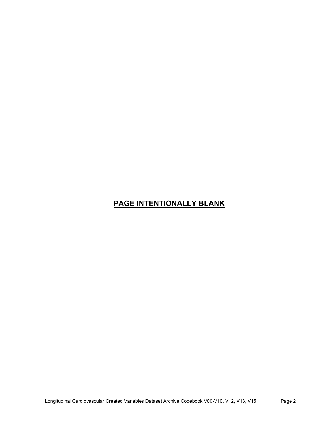## **PAGE INTENTIONALLY BLANK**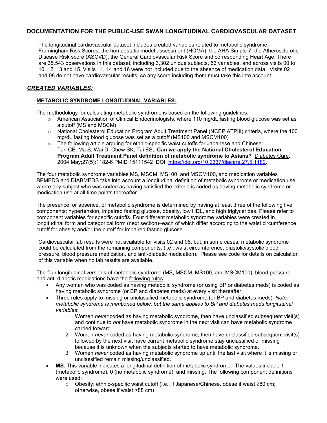### **DOCUMENTATION FOR THE PUBLIC-USE SWAN LONGITUDINAL CARDIOVASCULAR DATASET**

The longitudinal cardiovascular dataset includes created variables related to metabolic syndrome, Framingham Risk Scores, the homeostatic model assessment (HOMA), the AHA Simple 7, the Atherosclerotic Disease Risk score (ASCVD), the General Cardiovascular Risk Score and corresponding Heart Age. There are 35,543 observations in this dataset, including 3,302 unique subjects, 56 variables, and across visits 00 to 10, 12, 13 and 15. Visits 11, 14 and 16 were not included due to the absence of medication data. Visits 02 and 08 do not have cardiovascular results, so any score including them must take this into account.

### *CREATED VARIABLES:*

#### **METABOLIC SYNDROME LONGITUDINAL VARIABLES:**

The methodology for calculating metabolic syndrome is based on the following guidelines:

- o American Association of Clinical Endocrinologists, where 110 mg/dL fasting blood glucose was set as a cutoff (MS and MSCM)
- o National Cholesterol Education Program Adult Treatment Panel (NCEP ATPIII) criteria, where the 100 mg/dL fasting blood glucose was set as a cutoff (MS100 and MSCM100)
- $\circ$  The following article arguing for ethnic-specific waist cutoffs for Japanese and Chinese: Tan CE, Ma S, Wai D, Chew SK, Tai ES, **Can we apply the National Cholesterol Education Program Adult Treatment Panel definition of metabolic syndrome to Asians?** Diabetes Care, 2004 May;27(5):1182-6 PMID 15111542 DOI: [https://doi.org/10.2337/diacare.27.5.1182.](https://doi.org/10.2337/diacare.27.5.1182)

The four metabolic syndrome variables MS, MSCM, MS100, and MSCM100, and medication variables BPMEDS and DIABMEDS take into account a longitudinal definition of metabolic syndrome or medication use where any subject who was coded as having satisfied the criteria is coded as having metabolic syndrome or medication use at all time points thereafter.

The presence, or absence, of metabolic syndrome is determined by having at least three of the following five components: hypertension, impaired fasting glucose, obesity, low HDL, and high triglycerides. Please refer to component variables for specific cutoffs. Four different metabolic syndrome variables were created in longitudinal form and categorical form (next section)–each of which differ according to the waist circumference cutoff for obesity and/or the cutoff for impaired fasting glucose.

Cardiovascular lab results were not available for visits 02 and 08, but, in some cases, metabolic syndrome could be calculated from the remaining components, (i.e., waist circumference, diastolic/systolic blood pressure, blood pressure medication, and anti-diabetic medication). Please see code for details on calculation of this variable when no lab results are available.

The four longitudinal versions of metabolic syndrome (MS, MSCM, MS100, and MSCM100), blood pressure and anti-diabetic medications have the following rules:

- Any woman who was coded as having metabolic syndrome (or using BP or diabetes meds) is coded as having metabolic syndrome (or BP and diabetes meds) at every visit thereafter.
- Three rules apply to missing or unclassified metabolic syndrome (or BP and diabetes meds) *Note: metabolic syndrome is mentioned below, but the same applies to BP and diabetes meds longitudinal variables*:
	- 1. Women *never* coded as having metabolic syndrome, then have unclassified subsequent visit(s) and continue to *not* have metabolic syndrome in the next visit can have metabolic syndrome carried forward.
	- 2. Women *never* coded as having metabolic syndrome, then have unclassified subsequent visit(s) followed by the next visit have current metabolic syndrome stay unclassified or missing because it is unknown when the subjects started to have metabolic syndrome.
	- 3. Women *never* coded as having metabolic syndrome up until the last visit where it is missing or unclassified remain missing/unclassified.
- **MS**: This variable indicates a longitudinal definition of metabolic syndrome. The values include 1 (metabolic syndrome), 0 (no metabolic syndrome), and missing. The following component definitions were used:
	- o Obesity: ethnic-specific waist cutoff (i.e., if Japanese/Chinese, obese if waist ≥80 cm; otherwise, obese if waist >88 cm)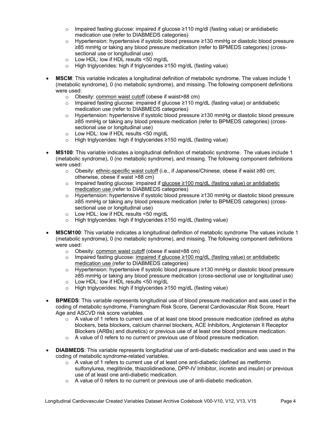- o Impaired fasting glucose: impaired if glucose ≥110 mg/dl (fasting value) or antidiabetic medication use (refer to DIABMEDS categories)
- o Hypertension: hypertensive if systolic blood pressure ≥130 mmHg or diastolic blood pressure ≥85 mmHg or taking any blood pressure medication (refer to BPMEDS categories) (crosssectional use or longitudinal use)
- o Low HDL: low if HDL results <50 mg/dL
- o High triglycerides: high if triglycerides ≥150 mg/dL (fasting value)
- **MSCM**: This variable indicates a longitudinal definition of metabolic syndrome. The values include 1 (metabolic syndrome), 0 (no metabolic syndrome), and missing. The following component definitions were used:
	- o Obesity: common waist cutoff (obese if waist>88 cm)
	- o Impaired fasting glucose: impaired if glucose ≥110 mg/dL (fasting value) or antidiabetic medication use (refer to DIABMEDS categories)
	- o Hypertension: hypertensive if systolic blood pressure ≥130 mmHg or diastolic blood pressure ≥85 mmHg or taking any blood pressure medication (refer to BPMEDS categories) (crosssectional use or longitudinal use)
	- o Low HDL: low if HDL results <50 mg/dL
	- o High triglycerides: high if triglycerides ≥150 mg/dL (fasting value)
- **MS100**: This variable indicates a longitudinal definition of metabolic syndrome. The values include 1 (metabolic syndrome), 0 (no metabolic syndrome), and missing. The following component definitions were used:
	- o Obesity: ethnic-specific waist cutoff (i.e., if Japanese/Chinese, obese if waist ≥80 cm; otherwise, obese if waist >88 cm)
	- o Impaired fasting glucose: impaired if glucose ≥100 mg/dL (fasting value) or antidiabetic medication use (refer to DIABMEDS categories)
	- o Hypertension: hypertensive if systolic blood pressure ≥130 mmHg or diastolic blood pressure ≥85 mmHg or taking any blood pressure medication (refer to BPMEDS categories) (crosssectional use or longitudinal use)
	- o Low HDL: low if HDL results <50 mg/dL
	- o High triglycerides: high if triglycerides ≥150 mg/dL (fasting value)
- **MSCM100**: This variable indicates a longitudinal definition of metabolic syndrome The values include 1 (metabolic syndrome), 0 (no metabolic syndrome), and missing. The following component definitions were used:
	- o Obesity: common waist cutoff (obese if waist>88 cm)
	- o Impaired fasting glucose: impaired if glucose ≥100 mg/dL (fasting value) or antidiabetic medication use (refer to DIABMEDS categories)
	- o Hypertension: hypertensive if systolic blood pressure ≥130 mmHg or diastolic blood pressure ≥85 mmHg or taking any blood pressure medication (cross-sectional use or longitudinal use)
	- o Low HDL: low if HDL results <50 mg/dL
	- o High triglycerides: high if triglycerides ≥150 mg/dL (fasting value)
- **BPMEDS**: This variable represents longitudinal use of blood pressure medication and was used in the coding of metabolic syndrome, Framingham Risk Score, General Cardiovascular Risk Score, Heart Age and ASCVD risk score variables.
	- $\circ$  A value of 1 refers to current use of at least one blood pressure medication (defined as alpha blockers, beta blockers, calcium channel blockers, ACE Inhibitors, Angiotensin II Receptor Blockers (ARBs) and diuretics) or previous use of at least one blood pressure medication.
	- o A value of 0 refers to no current or previous use of blood pressure medication.
- **DIABMEDS**: This variable represents longitudinal use of anti-diabetic medication and was used in the coding of metabolic syndrome-related variables.
	- $\circ$  A value of 1 refers to current use of at least one anti-diabetic (defined as metformin sulfonylurea, meglitinide, thiazolidinedione, DPP-IV Inhibitor, incretin and insulin) or previous use of at least one anti-diabetic medication.
	- $\circ$  A value of 0 refers to no current or previous use of anti-diabetic medication.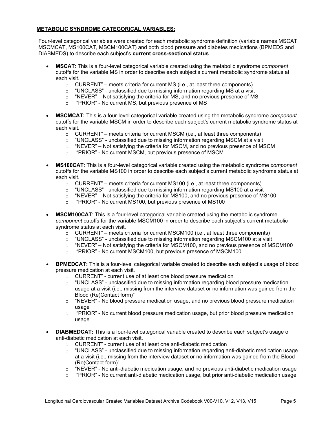#### **METABOLIC SYNDROME CATEGORICAL VARIABLES:**

Four-level categorical variables were created for each metabolic syndrome definition (variable names MSCAT, MSCMCAT, MS100CAT, MSCM100CAT) and both blood pressure and diabetes medications (BPMEDS and DIABMEDS) to describe each subject's **current cross-sectional status**.

- **MSCAT**: This is a four-level categorical variable created using the metabolic syndrome *component* cutoffs for the variable MS in order to describe each subject's current metabolic syndrome status at each visit.
	- $\circ$  CURRENT" meets criteria for current MS (i.e., at least three components)
	- o "UNCLASS" unclassified due to missing information regarding MS at a visit
	- o "NEVER" Not satisfying the criteria for MS, and no previous presence of MS
	- o "PRIOR" No current MS, but previous presence of MS
- **MSCMCAT:** This is a four-level categorical variable created using the metabolic syndrome *component* cutoffs for the variable MSCM in order to describe each subject's current metabolic syndrome status at each visit.
	- $\circ$  CURRENT" meets criteria for current MSCM (i.e., at least three components)
	- $\circ$  "UNCLASS" unclassified due to missing information regarding MSCM at a visit
	- $\circ$  "NEVER" Not satisfying the criteria for MSCM, and no previous presence of MSCM
	- o "PRIOR" No current MSCM, but previous presence of MSCM
- **MS100CAT**: This is a four-level categorical variable created using the metabolic syndrome *component* cutoffs for the variable MS100 in order to describe each subject's current metabolic syndrome status at each visit.
	- $\circ$  CURRENT" meets criteria for current MS100 (i.e., at least three components)
	- $\circ$  "UNCLASS" unclassified due to missing information regarding MS100 at a visit
	- $\circ$  "NEVER" Not satisfying the criteria for MS100, and no previous presence of MS100
	- o "PRIOR" No current MS100, but previous presence of MS100
- **MSCM100CAT**: This is a four-level categorical variable created using the metabolic syndrome *component* cutoffs for the variable MSCM100 in order to describe each subject's current metabolic syndrome status at each visit.
	- $\circ$  CURRENT" meets criteria for current MSCM100 (i.e., at least three components)
	- $\circ$  "UNCLASS" unclassified due to missing information regarding MSCM100 at a visit
	- $\circ$  "NEVER" Not satisfying the criteria for MSCM100, and no previous presence of MSCM100
	- o "PRIOR" No current MSCM100, but previous presence of MSCM100
- **BPMEDCAT:** This is a four-level categorical variable created to describe each subject's usage of blood pressure medication at each visit.
	- o CURRENT" current use of at least one blood pressure medication
	- $\circ$  "UNCLASS" unclassified due to missing information regarding blood pressure medication usage at a visit (i.e., missing from the interview dataset or no information was gained from the Blood (Re)Contact form)"
	- $\circ$  "NEVER" No blood pressure medication usage, and no previous blood pressure medication usage
	- $\circ$  "PRIOR" No current blood pressure medication usage, but prior blood pressure medication usage
- **DIABMEDCAT:** This is a four-level categorical variable created to describe each subject's usage of anti-diabetic medication at each visit.
	- o CURRENT" current use of at least one anti-diabetic medication
	- $\circ$  "UNCLASS" unclassified due to missing information regarding anti-diabetic medication usage at a visit (i.e., missing from the interview dataset or no information was gained from the Blood (Re)Contact form)"
	- $\circ$  "NEVER" No anti-diabetic medication usage, and no previous anti-diabetic medication usage
	- $\circ$  "PRIOR" No current anti-diabetic medication usage, but prior anti-diabetic medication usage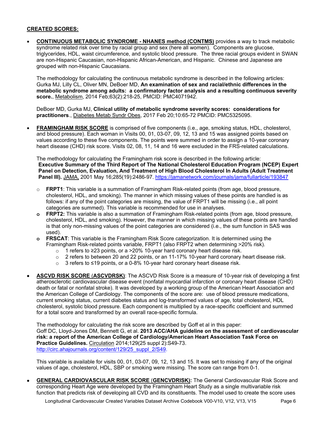#### **CREATED SCORES:**

• **CONTINUOUS METABOLIC SYNDROME - NHANES method (CONTMS)** provides a way to track metabolic syndrome related risk over time by racial group and sex (here all women). Components are glucose, triglycerides, HDL, waist circumference, and systolic blood pressure. The three racial groups evident in SWAN are non-Hispanic Caucasian, non-Hispanic African-American, and Hispanic. Chinese and Japanese are grouped with non-Hispanic Caucasians.

The methodology for calculating the continuous metabolic syndrome is described in the following articles: Gurka MJ, Lilly CL, Oliver MN, DeBoer MD, **An examination of sex and racial/ethnic differences in the metabolic syndrome among adults: a confirmatory factor analysis and a resulting continuous severity score.**, Metabolism, 2014 Feb;63(2):218-25, PMCID: PMC4071942.

DeBoer MD, Gurka MJ, **Clinical utility of metabolic syndrome severity scores: considerations for practitioners**., Diabetes Metab Syndr Obes, 2017 Feb 20;10:65-72 PMCID: PMC5325095.

**FRAMINGHAM RISK SCORE** is comprised of five components (i.e., age, smoking status, HDL, cholesterol, and blood pressure). Each woman in Visits 00, 01, 03-07, 09, 12, 13 and 15 was assigned points based on values according to these five components. The points were summed in order to assign a 10-year coronary heart disease (CHD) risk score. Visits 02, 08, 11, 14 and 16 were excluded in the FRS-related calculations.

The methodology for calculating the Framingham risk score is described in the following article: **Executive Summary of the Third Report of The National Cholesterol Education Program (NCEP) Expert Panel on Detection, Evaluation, And Treatment of High Blood Cholesterol In Adults (Adult Treatment Panel III).** JAMA, 2001 May 16;285(19):2486-97.<https://jamanetwork.com/journals/jama/fullarticle/193847>

- o **FRPT1**: This variable is a summation of Framingham Risk-related points (from age, blood pressure, cholesterol, HDL, and smoking). The manner in which missing values of these points are handled is as follows: if any of the point categories are missing, the value of FRPT1 will be missing (i.e., all point categories are summed). This variable is recommended for use in analyses.
- **o FRPT2:** This variable is also a summation of Framingham Risk-related points (from age, blood pressure, cholesterol, HDL, and smoking). However, the manner in which missing values of these points are handled is that only non-missing values of the point categories are considered (i.e., the sum function in SAS was used).
- **o FRSCAT**: This variable is the Framingham Risk Score categorization. It is determined using the Framingham Risk-related points variable, FRPT1 (also FRPT2 when determining >20% risk).
	- o 1 refers to ≥23 points, or a >20% 10-year hard coronary heart disease risk.
	- $\circ$  2 refers to between 20 and 22 points, or an 11-17% 10-year hard coronary heart disease risk.
	- o 3 refers to ≤19 points, or a 0-8% 10-year hard coronary heart disease risk.
- **ASCVD RISK SCORE** (**ASCVDRSK)**: The ASCVD Risk Score is a measure of 10-year risk of developing a first atherosclerotic cardiovascular disease event (nonfatal myocardial infarction or coronary heart disease (CHD) death or fatal or nonfatal stroke). It was developed by a working group of the American Heart Association and the American College of Cardiology. The components of the score are: use of blood pressure medications, current smoking status, current diabetes status and log-transformed values of age, total cholesterol, HDL cholesterol, systolic blood pressure. Each component is multiplied by a race-specific coefficient and summed for a total score and transformed by an overall race-specific formula.

The methodology for calculating the risk score are described by Goff et al in this paper: Goff DC, Lloyd-Jones DM, Bennett G, et al. **2013 ACC/AHA guideline on the assessment of cardiovascular risk: a report of the American College of Cardiology/American Heart Association Task Force on Practice Guidelines.** Circulation 2014;129(25 suppl 2):S49-73. [http://circ.ahajournals.org/content/129/25\\_suppl\\_2/S49.](http://circ.ahajournals.org/content/129/25_suppl_2/S49)

This variable is available for visits 00, 01, 03-07, 09, 12, 13 and 15. It was set to missing if any of the original values of age, cholesterol, HDL, SBP or smoking were missing. The score can range from 0-1.

• **GENERAL CARDIOVASCULAR RISK SCORE** (**GENCVDRISK):** The General Cardiovascular Risk Score and corresponding Heart Age were developed by the Framingham Heart Study as a single multivariable risk function that predicts risk of developing all CVD and its constituents. The model used to create the score uses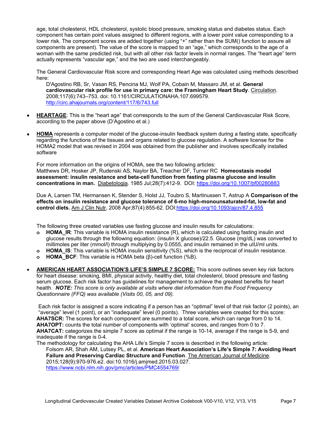age, total cholesterol, HDL cholesterol, systolic blood pressure, smoking status and diabetes status. Each component has certain point values assigned to different regions, with a lower point value corresponding to a lower risk. The component scores are added together (using "+" rather than the SUM() function to assure all components are present). The value of the score is mapped to an "age," which corresponds to the age of a woman with the same predicted risk, but with all other risk factor levels in normal ranges. The "heart age" term actually represents "vascular age," and the two are used interchangeably.

The General Cardiovascular Risk score and corresponding Heart Age was calculated using methods described here:

D'Agostino RB, Sr, Vasan RS, Pencina MJ, Wolf PA, Cobain M, Massaro JM, et al. **General cardiovascular risk profile for use in primary care: the Framingham Heart Study**. Circulation. 2008;117(6):743–753. doi: 10.1161/CIRCULATIONAHA.107.699579. <http://circ.ahajournals.org/content/117/6/743.full>

- **HEARTAGE**: This is the "heart age" that corresponds to the sum of the General Cardiovascular Risk Score, according to the paper above (D'Agostino et al.)
- **HOMA** represents a computer model of the glucose-insulin feedback system during a fasting state, specifically regarding the functions of the tissues and organs related to glucose regulation. A software license for the HOMA2 model that was revised in 2004 was obtained from the publisher and involves specifically installed software

For more information on the origins of HOMA, see the two following articles: Matthews DR, Hosker JP, Rudenski AS, Naylor BA, Treacher DF, Turner RC **Homeostasis model assessment: insulin resistance and beta-cell function from fasting plasma glucose and insulin concentrations in man.** Diabetologia. 1985 Jul;28(7):412-9. DOI: [https://doi.org/10.1007/bf00280883](https://link.springer.com/article/10.1007%2FBF00280883)

Due A, Larsen TM, Hermansen K, Stender S, Holst JJ, Toubro S, Martinussen T, Astrup A **Comparison of the effects on insulin resistance and glucose tolerance of 6-mo high-monounsaturated-fat, low-fat and control diets.** Am J Clin Nutr, 2008 Apr;87(4):855-62. DOI[:https://doi.org/10.1093/ajcn/87.4.855](https://academic.oup.com/ajcn/article/87/4/855/4633382)

The following three created variables use fasting glucose and insulin results for calculations:

- **o HOMA\_IR**: This variable is HOMA insulin resistance (R), which is calculated using fasting insulin and glucose results through the following equation: (insulin X glucose)/22.5. Glucose (mg/dL) was converted to millimoles per liter (mmol/l) through multiplying by 0.0555, and insulin remained in the uIU/ml units.
- **o HOMA\_IS**: This variable is HOMA insulin sensitivity (%S), which is the reciprocal of insulin resistance.
- **o HOMA\_BCF**: This variable is HOMA beta (β)-cell function (%B).
- **AMERICAN HEART ASSOCIATION'S LIFE'S SIMPLE 7 SCORE:** This score outlines seven key risk factors for heart disease: smoking, BMI, physical activity, healthy diet, total cholesterol, blood pressure and fasting serum glucose. Each risk factor has guidelines for management to achieve the greatest benefits for heart health. *NOTE: This score is only available at visits where diet information from the Food Frequency Questionnaire (FFQ) was available (Visits 00, 05, and 09).*

Each risk factor is assigned a score indicating if a person has an "optimal" level of that risk factor (2 points), an "average" level (1 point), or an "inadequate" level (0 points). Three variables were created for this score: **AHA7SCR:** The scores for each component are summed to a total score, which can range from 0 to 14. **AHA7OPT:** counts the total number of components with 'optimal' scores, and ranges from 0 to 7. **AHA7CAT:** categorizes the simple 7 score as optimal if the range is 10-14, average if the range is 5-9, and inadequate if the range is 0-4.

The methodology for calculating the AHA Life's Simple 7 score is described in the following article:

Folsom AR, Shah AM, Lutsey PL, et al. **American Heart Association's Life's Simple 7: Avoiding Heart Failure and Preserving Cardiac Structure and Function**. The American Journal of Medicine. 2015;128(9):970-976.e2. doi:10.1016/j.amjmed.2015.03.027. [https://www.ncbi.nlm.nih.gov/pmc/articles/PMC4554769/](https://nam05.safelinks.protection.outlook.com/?url=https%3A%2F%2Fwww.ncbi.nlm.nih.gov%2Fpmc%2Farticles%2FPMC4554769%2F&data=02%7C01%7CSUEJ%40pitt.edu%7C229e69d40ead48a013ac08d748d494b3%7C9ef9f489e0a04eeb87cc3a526112fd0d%7C1%7C0%7C637057950170070133&sdata=ZrcWSW98lm5WGYOGfuBtz86EeYQHh%2BVngLn2rKhK4bQ%3D&reserved=0)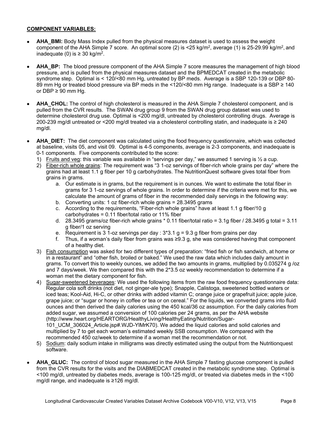#### **COMPONENT VARIABLES:**

- **AHA\_BMI:** Body Mass Index pulled from the physical measures dataset is used to assess the weight component of the AHA Simple 7 score. An optimal score (2) is <25 kg/m<sup>2</sup>, average (1) is 25-29.99 kg/m<sup>2</sup>, and inadequate (0) is ≥ 30 kg/m<sup>2</sup>.
- **AHA\_BP:** The blood pressure component of the AHA Simple 7 score measures the management of high blood pressure, and is pulled from the physical measures dataset and the BPMEDCAT created in the metabolic syndrome step. Optimal is < 120/<80 mm Hg, untreated by BP meds. Average is a SBP 120-139 or DBP 80- 89 mm Hg or treated blood pressure via BP meds in the <120/<80 mm Hg range. Inadequate is a SBP ≥ 140 or DBP  $\geq$  90 mm Hg.
- AHA\_CHOL: The control of high cholesterol is measured in the AHA Simple 7 cholesterol component, and is pulled from the CVR results. The SWAN drug group 9 from the SWAN drug group dataset was used to determine cholesterol drug use. Optimal is <200 mg/dl, untreated by cholesterol controlling drugs. Average is 200-239 mg/dl untreated or <200 mg/dl treated via a cholesterol controlling statin, and inadequate is ≥ 240 mg/dl.
- **AHA\_DIET:** The diet component was calculated using the food frequency questionnaire, which was collected at baseline, visits 05, and visit 09. Optimal is 4-5 components, average is 2-3 components, and inadequate is 0-1 components. Five components contributed to the score:
	- 1) Fruits and veg: this variable was available in "servings per day," we assumed 1 serving is  $\frac{1}{2}$  a cup.
	- 2) Fiber-rich whole grains: The requirement was "3 1-oz servings of fiber-rich whole grains per day" where the grains had at least 1.1 g fiber per 10 g carbohydrates. The NutritionQuest software gives total fiber from grains in grams.
		- a. Our estimate is in grams, but the requirement is in ounces. We want to estimate the total fiber in grams for 3 1-oz servings of whole grains. In order to determine if the criteria were met for this, we calculate the amount of grams of fiber in the recommended daily servings in the following way:
		- b. Converting units: 1 oz fiber-rich whole grains = 28.3495 grams
		- c. According to the requirements, "Fiber-rich whole grains" have at least 1.1 g fiber/10 g carbohydrates = 0.11 fiber/total ratio or 11% fiber
		- d. 28.3495 grams/oz fiber-rich whole grains \* 0.11 fiber/total ratio = 3.1g fiber / 28.3495 g total = 3.11 g fiber/1 oz serving
		- e. Requirement is 3 1-oz servings per day :  $3*3.1$  g = 9.3 g fiber from grains per day
		- f. Thus, if a woman's daily fiber from grains was  $\geq 9.3$  g, she was considered having that component of a healthy diet.
	- 3) Fish consumption was asked for two different types of preparation: "fried fish or fish sandwich, at home or in a restaurant" and "other fish, broiled or baked." We used the raw data which includes daily amount in grams. To convert this to weekly ounces, we added the two amounts in grams, multiplied by 0.035274 g /oz and 7 days/week. We then compared this with the 2\*3.5 oz weekly recommendation to determine if a woman met the dietary component for fish.
	- 4) Sugar-sweetened beverages: We used the following items from the raw food frequency questionnaire data: Regular cola soft drinks (not diet, not ginger-ale type); Snapple, Calistoga, sweetened bottled waters or iced teas; Kool-Aid, Hi-C, or other drinks with added vitamin C; orange juice or grapefruit juice; apple juice, grape juice; or "sugar or honey in coffee or tea or on cereal." For the liquids, we converted grams into fluid ounces and then derived the daily calories using the 450 kcal/36 oz assumption. For the daily calories from added sugar, we assumed a conversion of 100 calories per 24 grams, as per the AHA website (http://www.heart.org/HEARTORG/HealthyLiving/HealthyEating/Nutrition/Sugar-101 UCM 306024 Article.jsp#.WJD-YlMrK70). We added the liquid calories and solid calories and multiplied by 7 to get each woman's estimated weekly SSB consumption. We compared with the recommended 450 oz/week to determine if a woman met the recommendation or not.
	- 5) Sodium: daily sodium intake in milligrams was directly estimated using the output from the Nutritionquest software.
- **AHA\_GLUC:** The control of blood sugar measured in the AHA Simple 7 fasting glucose component is pulled from the CVR results for the visits and the DIABMEDCAT created in the metabolic syndrome step. Optimal is <100 mg/dl, untreated by diabetes meds, average is 100-125 mg/dl, or treated via diabetes meds in the <100 mg/dl range, and inadequate is ≥126 mg/dl.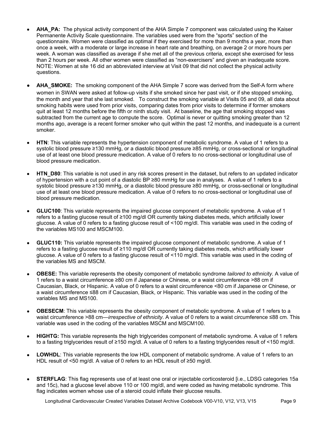- **AHA\_PA:** The physical activity component of the AHA Simple 7 component was calculated using the Kaiser Permanente Activity Scale questionnaire. The variables used were from the "sports" section of the questionnaire. Women were classified as optimal if they exercised for more than 9 months a year, more than once a week, with a moderate or large increase in heart rate and breathing, on average 2 or more hours per week. A woman was classified as average if she met all of the previous criteria, except she exercised for less than 2 hours per week. All other women were classified as "non-exercisers" and given an inadequate score. NOTE: Women at site 16 did an abbreviated interview at Visit 09 that did not collect the physical activity questions.
- **AHA\_SMOKE:** The smoking component of the AHA Simple 7 score was derived from the Self-A form where women in SWAN were asked at follow-up visits if she smoked since her past visit, or if she stopped smoking, the month and year that she last smoked. To construct the smoking variable at Visits 05 and 09, all data about smoking habits were used from prior visits, comparing dates from prior visits to determine if former smokers quit at least 12 months before the fifth or ninth study visit. At baseline, the age that smoking stopped was subtracted from the current age to compute the score. Optimal is never or quitting smoking greater than 12 months ago, average is a recent former smoker who quit within the past 12 months, and inadequate is a current smoker.
- **HTN**: This variable represents the hypertension component of metabolic syndrome. A value of 1 refers to a systolic blood pressure ≥130 mmHg, or a diastolic blood pressure ≥85 mmHg, or cross-sectional or longitudinal use of at least one blood pressure medication. A value of 0 refers to no cross-sectional or longitudinal use of blood pressure medication.
- **HTN\_D80**: This variable is not used in any risk scores present in the dataset, but refers to an updated indicator of hypertension with a cut point of a diastolic BP ≥80 mmHg for use in analyses. A value of 1 refers to a systolic blood pressure ≥130 mmHg, or a diastolic blood pressure ≥80 mmHg, or cross-sectional or longitudinal use of at least one blood pressure medication. A value of 0 refers to no cross-sectional or longitudinal use of blood pressure medication.
- **GLUC100**: This variable represents the impaired glucose component of metabolic syndrome. A value of 1 refers to a fasting glucose result of ≥100 mg/dl OR currently taking diabetes meds, which artificially lower glucose. A value of 0 refers to a fasting glucose result of <100 mg/dl. This variable was used in the coding of the variables MS100 and MSCM100.
- **GLUC110:** This variable represents the impaired glucose component of metabolic syndrome. A value of 1 refers to a fasting glucose result of ≥110 mg/dl OR currently taking diabetes meds, which artificially lower glucose. A value of 0 refers to a fasting glucose result of <110 mg/dl. This variable was used in the coding of the variables MS and MSCM.
- **OBESE:** This variable represents the obesity component of metabolic syndrome *tailored to ethnicity*. A value of 1 refers to a waist circumference ≥80 cm if Japanese or Chinese, or a waist circumference >88 cm if Caucasian, Black, or Hispanic. A value of 0 refers to a waist circumference <80 cm if Japanese or Chinese, or a waist circumference ≤88 cm if Caucasian, Black, or Hispanic. This variable was used in the coding of the variables MS and MS100.
- **OBESECM**: This variable represents the obesity component of metabolic syndrome. A value of 1 refers to a waist circumference >88 cm—*irrespective of ethnicity*. A value of 0 refers to a waist circumference ≤88 cm. This variable was used in the coding of the variables MSCM and MSCM100.
- **HIGHTG:** This variable represents the high triglycerides component of metabolic syndrome. A value of 1 refers to a fasting triglycerides result of ≥150 mg/dl. A value of 0 refers to a fasting triglycerides result of <150 mg/dl.
- **LOWHDL:** This variable represents the low HDL component of metabolic syndrome. A value of 1 refers to an HDL result of <50 mg/dl. A value of 0 refers to an HDL result of ≥50 mg/dl.
- **STERFLAG**: This flag represents use of at least one oral or injectable corticosteroid [i.e., LDSG categories 15a and 15c), had a glucose level above 110 or 100 mg/dl, and were coded as having metabolic syndrome. This flag indicates women whose use of a steroid could inflate their glucose results.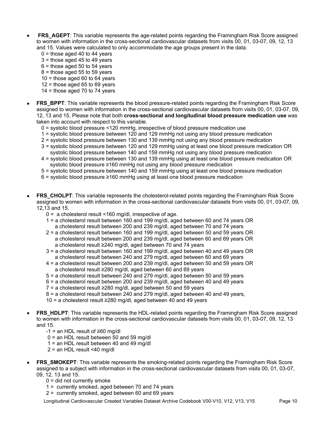- **FRS\_AGEPT**: This variable represents the age-related points regarding the Framingham Risk Score assigned to women with information in the cross-sectional cardiovascular datasets from visits 00, 01, 03-07, 09, 12, 13 and 15. Values were calculated to only accommodate the age groups present in the data.
	- $0 =$  those aged 40 to 44 years
	- 3 = those aged 45 to 49 years
	- $6$  = those aged 50 to 54 years
	- $8$  = those aged 55 to 59 years
	- $10 =$  those aged 60 to 64 years
	- $12$  = those aged 65 to 69 years
	- 14 = those aged 70 to 74 years
- **FRS\_BPPT**: This variable represents the blood pressure-related points regarding the Framingham Risk Score assigned to women with information in the cross-sectional cardiovascular datasets from visits 00, 01, 03-07, 09, 12, 13 and 15. Please note that both **cross-sectional and longitudinal blood pressure medication use** was taken into account with respect to this variable.
	- 0 = systolic blood pressure <120 mmHg, irrespective of blood pressure medication use
	- 1 = systolic blood pressure between 120 and 129 mmHg not using any blood pressure medication
	- 2 = systolic blood pressure between 130 and 139 mmHg not using any blood pressure medication
	- 3 = systolic blood pressure between 120 and 129 mmHg using at least one blood pressure medication OR systolic blood pressure between 140 and 159 mmHg not using any blood pressure medication
	- 4 = systolic blood pressure between 130 and 139 mmHg using at least one blood pressure medication OR systolic blood pressure ≥160 mmHg not using any blood pressure medication
	- 5 = systolic blood pressure between 140 and 159 mmHg using at least one blood pressure medication
	- 6 = systolic blood pressure ≥160 mmHg using at least one blood pressure medication
- **FRS CHOLPT:** This variable represents the cholesterol-related points regarding the Framingham Risk Score assigned to women with information in the cross-sectional cardiovascular datasets from visits 00, 01, 03-07, 09, 12,13 and 15.
	- 0 = a cholesterol result <160 mg/dl, irrespective of age.
	- 1 = a cholesterol result between 160 and 199 mg/dl, aged between 60 and 74 years OR a cholesterol result between 200 and 239 mg/dl, aged between 70 and 74 years
	- 2 = a cholesterol result between 160 and 199 mg/dl, aged between 50 and 59 years OR a cholesterol result between 200 and 239 mg/dl, aged between 60 and 69 years OR a cholesterol result ≥240 mg/dl, aged between 70 and 74 years
	- 3 = a cholesterol result between 160 and 199 mg/dl, aged between 40 and 49 years OR a cholesterol result between 240 and 279 mg/dl, aged between 60 and 69 years
	- 4 = a cholesterol result between 200 and 239 mg/dl, aged between 50 and 59 years OR a cholesterol result ≥280 mg/dl, aged between 60 and 69 years
	- 5 = a cholesterol result between 240 and 279 mg/dl, aged between 50 and 59 years
	- 6 = a cholesterol result between 200 and 239 mg/dl, aged between 40 and 49 years
	- 7 = a cholesterol result ≥280 mg/dl, aged between 50 and 59 years
	- 8 = a cholesterol result between 240 and 279 mg/dl, aged between 40 and 49 years,
	- 10 = a cholesterol result ≥280 mg/dl, aged between 40 and 49 years
- **FRS HDLPT:** This variable represents the HDL-related points regarding the Framingham Risk Score assigned to women with information in the cross-sectional cardiovascular datasets from visits 00, 01, 03-07, 09, 12, 13 and 15.
	- -1 = an HDL result of ≥60 mg/dl
	- 0 = an HDL result between 50 and 59 mg/dl
	- $1 =$  an HDL result between 40 and 49 mg/dl
	- 2 = an HDL result <40 mg/dl
- **FRS SMOKEPT:** This variable represents the smoking-related points regarding the Framingham Risk Score assigned to a subject with information in the cross-sectional cardiovascular datasets from visits 00, 01, 03-07, 09, 12, 13 and 15.
	- $0 =$  did not currently smoke
	- 1 = currently smoked, aged between 70 and 74 years
	- 2 = currently smoked, aged between 60 and 69 years

Longitudinal Cardiovascular Created Variables Dataset Archive Codebook V00-V10, V12, V13, V15 Page 10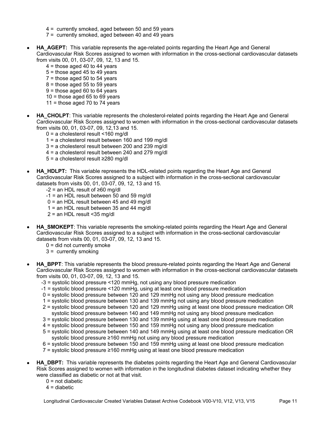- 4 = currently smoked, aged between 50 and 59 years
- 7 = currently smoked, aged between 40 and 49 years
- **HA\_AGEPT:** This variable represents the age-related points regarding the Heart Age and General Cardiovascular Risk Scores assigned to women with information in the cross-sectional cardiovascular datasets from visits 00, 01, 03-07, 09, 12, 13 and 15.
	- $4 =$  those aged 40 to 44 years
	- 5 = those aged 45 to 49 years
	- $7 =$  those aged 50 to 54 years
	- $8$  = those aged 55 to 59 years
	- 9 = those aged 60 to 64 years
	- $10 =$  those aged 65 to 69 years
	- 11 = those aged 70 to 74 years
- **HA\_CHOLPT:** This variable represents the cholesterol-related points regarding the Heart Age and General Cardiovascular Risk Scores assigned to women with information in the cross-sectional cardiovascular datasets from visits 00, 01, 03-07, 09, 12,13 and 15.
	- 0 = a cholesterol result <160 mg/dl
	- 1 = a cholesterol result between 160 and 199 mg/dl
	- 3 = a cholesterol result between 200 and 239 mg/dl
	- 4 = a cholesterol result between 240 and 279 mg/dl
	- 5 = a cholesterol result ≥280 mg/dl
- **HA\_HDLPT:** This variable represents the HDL-related points regarding the Heart Age and General Cardiovascular Risk Scores assigned to a subject with information in the cross-sectional cardiovascular datasets from visits 00, 01, 03-07, 09, 12, 13 and 15.
	- -2 = an HDL result of ≥60 mg/dl
	- -1 = an HDL result between 50 and 59 mg/dl
	- 0 = an HDL result between 45 and 49 mg/dl
	- 1 = an HDL result between 35 and 44 mg/dl
	- 2 = an HDL result <35 mg/dl
- **HA\_SMOKEPT:** This variable represents the smoking-related points regarding the Heart Age and General Cardiovascular Risk Scores assigned to a subject with information in the cross-sectional cardiovascular datasets from visits 00, 01, 03-07, 09, 12, 13 and 15.
	- $0 =$  did not currently smoke
	- 3 = currently smoking
- **HA\_BPPT**: This variable represents the blood pressure-related points regarding the Heart Age and General Cardiovascular Risk Scores assigned to women with information in the cross-sectional cardiovascular datasets from visits 00, 01, 03-07, 09, 12, 13 and 15.
	- -3 = systolic blood pressure <120 mmHg, not using any blood pressure medication
	- -1 = systolic blood pressure <120 mmHg, using at least one blood pressure medication
	- 0 = systolic blood pressure between 120 and 129 mmHg not using any blood pressure medication
	- 1 = systolic blood pressure between 130 and 139 mmHg not using any blood pressure medication
	- 2 = systolic blood pressure between 120 and 129 mmHg using at least one blood pressure medication OR systolic blood pressure between 140 and 149 mmHg not using any blood pressure medication
	- 3 = systolic blood pressure between 130 and 139 mmHg using at least one blood pressure medication
	- 4 = systolic blood pressure between 150 and 159 mmHg not using any blood pressure medication
	- 5 = systolic blood pressure between 140 and 149 mmHg using at least one blood pressure medication OR systolic blood pressure ≥160 mmHg not using any blood pressure medication
	- 6 = systolic blood pressure between 150 and 159 mmHg using at least one blood pressure medication
	- 7 = systolic blood pressure ≥160 mmHg using at least one blood pressure medication
- **HA\_DBPT:** This variable represents the diabetes points regarding the Heart Age and General Cardiovascular Risk Scores assigned to women with information in the longitudinal diabetes dataset indicating whether they were classified as diabetic or not at that visit.
	- $0 = \text{not } \text{di}$
	- $4 =$  diabetic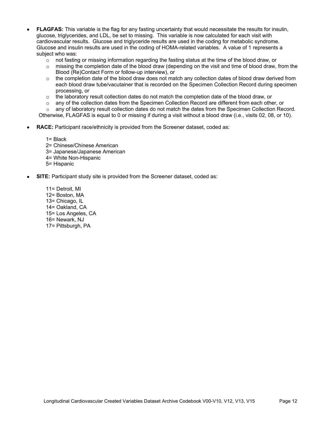- **FLAGFAS:** This variable is the flag for any fasting uncertainty that would necessitate the results for insulin, glucose, triglycerides, and LDL, be set to missing. This variable is now calculated for each visit with cardiovascular results. Glucose and triglyceride results are used in the coding for metabolic syndrome. Glucose and insulin results are used in the coding of HOMA-related variables. A value of 1 represents a subject who was:
	- $\circ$  not fasting or missing information regarding the fasting status at the time of the blood draw, or
	- $\circ$  missing the completion date of the blood draw (depending on the visit and time of blood draw, from the Blood (Re)Contact Form or follow-up interview), or
	- $\circ$  the completion date of the blood draw does not match any collection dates of blood draw derived from each blood draw tube/vacutainer that is recorded on the Specimen Collection Record during specimen processing, or
	- $\circ$  the laboratory result collection dates do not match the completion date of the blood draw, or
	- o any of the collection dates from the Specimen Collection Record are different from each other, or

 $\circ$  any of laboratory result collection dates do not match the dates from the Specimen Collection Record. Otherwise, FLAGFAS is equal to 0 or missing if during a visit without a blood draw (i.e., visits 02, 08, or 10).

- **RACE:** Participant race/ethnicity is provided from the Screener dataset, coded as:
	- $1 =$ Black
	- 2= Chinese/Chinese American
	- 3= Japanese/Japanese American
	- 4= White Non-Hispanic
	- 5= Hispanic
- **SITE:** Participant study site is provided from the Screener dataset, coded as:
	- 11= Detroit, MI 12= Boston, MA 13= Chicago, IL 14= Oakland, CA 15= Los Angeles, CA 16= Newark, NJ 17= Pittsburgh, PA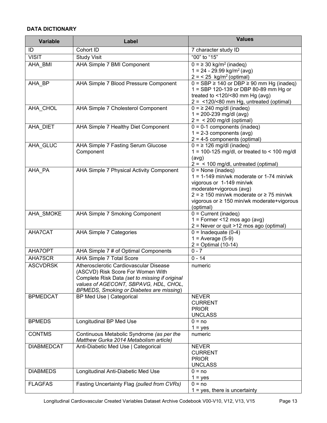### **DATA DICTIONARY**

| <b>Variable</b>   | Label                                                                       | <b>Values</b>                                                            |
|-------------------|-----------------------------------------------------------------------------|--------------------------------------------------------------------------|
| ID                | Cohort ID                                                                   | 7 character study ID                                                     |
| <b>VISIT</b>      | <b>Study Visit</b>                                                          | "00" to "15"                                                             |
| AHA BMI           | AHA Simple 7 BMI Component                                                  | $0 = \geq 30$ kg/m <sup>2</sup> (inadeq)                                 |
|                   |                                                                             | $1 = 24 - 29.99$ kg/m <sup>2</sup> (avg)                                 |
|                   |                                                                             | $2 = 25$ kg/m <sup>2</sup> (optimal)                                     |
| AHA_BP            | AHA Simple 7 Blood Pressure Component                                       | $0 = SBP \ge 140$ or DBP $\ge 90$ mm Hg (inadeq)                         |
|                   |                                                                             | 1 = SBP 120-139 or DBP 80-89 mm Hg or                                    |
|                   |                                                                             | treated to $<$ 120/ $<$ 80 mm Hg (avg)                                   |
| AHA_CHOL          | AHA Simple 7 Cholesterol Component                                          | $2 = 120/80$ mm Hg, untreated (optimal)<br>$0 = \geq 240$ mg/dl (inadeq) |
|                   |                                                                             | $1 = 200 - 239$ mg/dl (avg)                                              |
|                   |                                                                             | $2 = 200$ mg/dl (optimal)                                                |
| AHA_DIET          | AHA Simple 7 Healthy Diet Component                                         | $0 = 0-1$ components (inadeq)                                            |
|                   |                                                                             | $1 = 2-3$ components (avg)                                               |
|                   |                                                                             | $2 = 4-5$ components (optimal)                                           |
| AHA GLUC          | AHA Simple 7 Fasting Serum Glucose                                          | $0 = \geq 126$ mg/dl (inadeq)                                            |
|                   | Component                                                                   | 1 = 100-125 mg/dl, or treated to < 100 mg/dl                             |
|                   |                                                                             | (avg)<br>$2 = 100$ mg/dl, untreated (optimal)                            |
| AHA PA            | AHA Simple 7 Physical Activity Component                                    | $0 = None (inadeq)$                                                      |
|                   |                                                                             | $1 = 1-149$ min/wk moderate or 1-74 min/wk                               |
|                   |                                                                             | vigorous or 1-149 min/wk                                                 |
|                   |                                                                             | moderate+vigorous (avg)                                                  |
|                   |                                                                             | $2 = \ge 150$ min/wk moderate or $\ge 75$ min/wk                         |
|                   |                                                                             | vigorous or ≥ 150 min/wk moderate+vigorous                               |
|                   |                                                                             | (optimal)                                                                |
| AHA SMOKE         | AHA Simple 7 Smoking Component                                              | $0 =$ Current (inadeq)<br>$1 =$ Former <12 mos ago (avg)                 |
|                   |                                                                             | 2 = Never or quit >12 mos ago (optimal)                                  |
| AHA7CAT           | <b>AHA Simple 7 Categories</b>                                              | $0 =$ Inadequate $\overline{(0-4)}$                                      |
|                   |                                                                             | $1 = Average (5-9)$                                                      |
|                   |                                                                             | $2 = Optimal (10-14)$                                                    |
| AHA7OPT           | AHA Simple 7 # of Optimal Components                                        | $0 - 7$                                                                  |
| AHA7SCR           | <b>AHA Simple 7 Total Score</b>                                             | $0 - 14$                                                                 |
| <b>ASCVDRSK</b>   | Atherosclerotic Cardiovascular Disease<br>(ASCVD) Risk Score For Women With | numeric                                                                  |
|                   | Complete Risk Data (set to missing if original                              |                                                                          |
|                   | values of AGECONT, SBPAVG, HDL, CHOL,                                       |                                                                          |
|                   | BPMEDS, Smoking or Diabetes are missing)                                    |                                                                          |
| <b>BPMEDCAT</b>   | BP Med Use   Categorical                                                    | <b>NEVER</b>                                                             |
|                   |                                                                             | <b>CURRENT</b>                                                           |
|                   |                                                                             | <b>PRIOR</b>                                                             |
|                   |                                                                             | <b>UNCLASS</b>                                                           |
| <b>BPMEDS</b>     | Longitudinal BP Med Use                                                     | $0 = no$<br>$1 = yes$                                                    |
| <b>CONTMS</b>     | Continuous Metabolic Syndrome (as per the                                   | numeric                                                                  |
|                   | Matthew Gurka 2014 Metabolism article)                                      |                                                                          |
| <b>DIABMEDCAT</b> | Anti-Diabetic Med Use   Categorical                                         | <b>NEVER</b>                                                             |
|                   |                                                                             | <b>CURRENT</b>                                                           |
|                   |                                                                             | <b>PRIOR</b>                                                             |
|                   |                                                                             | <b>UNCLASS</b>                                                           |
| <b>DIABMEDS</b>   | Longitudinal Anti-Diabetic Med Use                                          | $0 = no$<br>$1 = yes$                                                    |
| <b>FLAGFAS</b>    | Fasting Uncertainty Flag (pulled from CVRs)                                 | $0 = no$                                                                 |
|                   |                                                                             | $1 = yes$ , there is uncertainty                                         |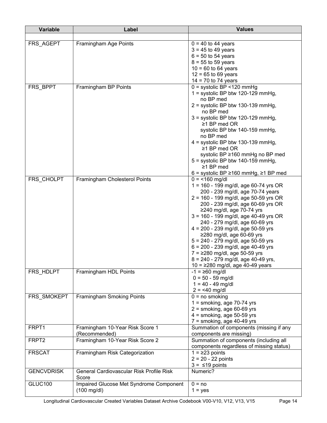| Variable          | Label                                             | <b>Values</b>                                                             |
|-------------------|---------------------------------------------------|---------------------------------------------------------------------------|
|                   |                                                   |                                                                           |
| FRS_AGEPT         | Framingham Age Points                             | $0 = 40$ to 44 years                                                      |
|                   |                                                   | $3 = 45$ to 49 years                                                      |
|                   |                                                   | $6 = 50$ to 54 years                                                      |
|                   |                                                   | $8 = 55$ to 59 years                                                      |
|                   |                                                   | $10 = 60$ to 64 years<br>$12 = 65$ to 69 years                            |
|                   |                                                   | $14 = 70$ to 74 years                                                     |
| FRS_BPPT          | Framingham BP Points                              | $0 =$ systolic BP <120 mmHg                                               |
|                   |                                                   | $1 =$ systolic BP btw 120-129 mmHg,                                       |
|                   |                                                   | no BP med                                                                 |
|                   |                                                   | $2 =$ systolic BP btw 130-139 mmHg,                                       |
|                   |                                                   | no BP med                                                                 |
|                   |                                                   | $3 =$ systolic BP btw 120-129 mmHg,                                       |
|                   |                                                   | ≥1 BP med OR                                                              |
|                   |                                                   | systolic BP btw 140-159 mmHg,<br>no BP med                                |
|                   |                                                   | $4 =$ systolic BP btw 130-139 mmHg,                                       |
|                   |                                                   | ≥1 BP med OR                                                              |
|                   |                                                   | systolic BP ≥160 mmHg no BP med                                           |
|                   |                                                   | $5 =$ systolic BP btw 140-159 mmHg,                                       |
|                   |                                                   | $\geq$ 1 BP med                                                           |
|                   |                                                   | 6 = systolic BP ≥160 mmHg, ≥1 BP med                                      |
| FRS_CHOLPT        | Framingham Cholesterol Points                     | $0 =$ <160 mg/dl                                                          |
|                   |                                                   | 1 = 160 - 199 mg/dl, age 60-74 yrs OR                                     |
|                   |                                                   | 200 - 239 mg/dl, age 70-74 years<br>2 = 160 - 199 mg/dl, age 50-59 yrs OR |
|                   |                                                   | 200 - 239 mg/dl, age 60-69 yrs OR                                         |
|                   |                                                   | $\geq$ 240 mg/dl, age 70-74 yrs                                           |
|                   |                                                   | 3 = 160 - 199 mg/dl, age 40-49 yrs OR                                     |
|                   |                                                   | 240 - 279 mg/dl, age 60-69 yrs                                            |
|                   |                                                   | 4 = 200 - 239 mg/dl, age 50-59 yrs                                        |
|                   |                                                   | $\geq$ 280 mg/dl, age 60-69 yrs                                           |
|                   |                                                   | 5 = 240 - 279 mg/dl, age 50-59 yrs                                        |
|                   |                                                   | 6 = 200 - 239 mg/dl, age 40-49 yrs                                        |
|                   |                                                   | $7 = 280$ mg/dl, age 50-59 yrs<br>$8 = 240 - 279$ mg/dl, age 40-49 yrs,   |
|                   |                                                   | 10 = ≥280 mg/dl, age 40-49 years                                          |
| FRS_HDLPT         | Framingham HDL Points                             | $-1 = 80$ mg/dl                                                           |
|                   |                                                   | $0 = 50 - 59$ mg/dl                                                       |
|                   |                                                   | $1 = 40 - 49$ mg/dl                                                       |
|                   |                                                   | $2 = 40$ mg/dl                                                            |
| FRS_SMOKEPT       | Framingham Smoking Points                         | $0 = no$ smoking                                                          |
|                   |                                                   | $1 =$ smoking, age 70-74 yrs                                              |
|                   |                                                   | $2 =$ smoking, age 60-69 yrs                                              |
|                   |                                                   | $4 =$ smoking, age 50-59 yrs<br>$7 =$ smoking, age 40-49 yrs              |
| FRPT1             | Framingham 10-Year Risk Score 1                   | Summation of components (missing if any                                   |
|                   | (Recommended)                                     | components are missing)                                                   |
| FRPT <sub>2</sub> | Framingham 10-Year Risk Score 2                   | Summation of components (including all                                    |
|                   |                                                   | components regardless of missing status)                                  |
| <b>FRSCAT</b>     | Framingham Risk Categorization                    | $1 = \geq 23$ points                                                      |
|                   |                                                   | $2 = 20 - 22$ points                                                      |
|                   |                                                   | $3 = 19$ points                                                           |
| <b>GENCVDRISK</b> | General Cardiovascular Risk Profile Risk<br>Score | Numeric?                                                                  |
| <b>GLUC100</b>    | Impaired Glucose Met Syndrome Component           | $0 = no$                                                                  |
|                   | $(100 \text{ mg/dl})$                             | $1 = yes$                                                                 |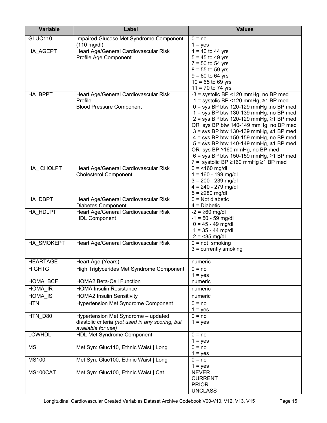| <b>Variable</b>   | Label                                            | <b>Values</b>                                                                          |
|-------------------|--------------------------------------------------|----------------------------------------------------------------------------------------|
| <b>GLUC110</b>    | Impaired Glucose Met Syndrome Component          | $0 = no$                                                                               |
|                   | $(110 \text{ mg/dl})$                            | $1 = yes$                                                                              |
| HA_AGEPT          | Heart Age/General Cardiovascular Risk            | $4 = 40$ to 44 yrs                                                                     |
|                   | Profile Age Component                            | $5 = 45$ to 49 yrs                                                                     |
|                   |                                                  | $7 = 50$ to 54 yrs<br>$8 = 55$ to 59 yrs                                               |
|                   |                                                  | $9 = 60$ to 64 yrs                                                                     |
|                   |                                                  | $10 = 65$ to 69 yrs                                                                    |
|                   |                                                  | $11 = 70$ to 74 yrs                                                                    |
| HA BPPT           | Heart Age/General Cardiovascular Risk            | -3 = systolic BP <120 mmHg, no BP med                                                  |
|                   | Profile                                          | -1 = systolic BP <120 mmHg, $\ge$ 1 BP med                                             |
|                   | <b>Blood Pressure Component</b>                  | $0 = sys$ BP btw 120-129 mmHg, no BP med                                               |
|                   |                                                  | $1 =$ sys BP btw 130-139 mmHg, no BP med                                               |
|                   |                                                  | 2 = sys BP btw 120-129 mmHg, $\ge$ 1 BP med                                            |
|                   |                                                  | OR sys BP btw 140-149 mmHg, no BP med<br>$3 = sys BP$ btw 130-139 mmHg, $\ge 1$ BP med |
|                   |                                                  | $4 =$ sys BP btw 150-159 mmHg, no BP med                                               |
|                   |                                                  | 5 = sys BP btw 140-149 mmHg, $\geq$ 1 BP med                                           |
|                   |                                                  | OR sys BP ≥160 mmHg, no BP med                                                         |
|                   |                                                  | 6 = sys BP btw 150-159 mmHg, $\geq$ 1 BP med                                           |
|                   |                                                  | 7 = systolic BP ≥160 mmHg ≥1 BP med                                                    |
| HA_CHOLPT         | Heart Age/General Cardiovascular Risk            | $0 = 160$ mg/dl                                                                        |
|                   | <b>Cholesterol Component</b>                     | $1 = 160 - 199$ mg/dl                                                                  |
|                   |                                                  | $3 = 200 - 239$ mg/dl                                                                  |
|                   |                                                  | $4 = 240 - 279$ mg/dl<br>$5 = 280$ mg/dl                                               |
| HA_DBPT           | Heart Age/General Cardiovascular Risk            | $0 = Not diabetic$                                                                     |
|                   | Diabetes Component                               | $4 = Diabetic$                                                                         |
| HA_HDLPT          | Heart Age/General Cardiovascular Risk            | $-2 = 80$ mg/dl                                                                        |
|                   | <b>HDL Component</b>                             | $-1 = 50 - 59$ mg/dl                                                                   |
|                   |                                                  | $0 = 45 - 49$ mg/dl                                                                    |
|                   |                                                  | $1 = 35 - 44$ mg/dl<br>$2 = 35$ mg/dl                                                  |
| <b>HA_SMOKEPT</b> | Heart Age/General Cardiovascular Risk            | $0 = not$ smoking                                                                      |
|                   |                                                  | $3 =$ currently smoking                                                                |
|                   |                                                  |                                                                                        |
| <b>HEARTAGE</b>   | Heart Age (Years)                                | numeric                                                                                |
| <b>HIGHTG</b>     | High Triglycerides Met Syndrome Component        | $0 = no$                                                                               |
| HOMA_BCF          | <b>HOMA2 Beta-Cell Function</b>                  | $1 = yes$<br>numeric                                                                   |
| <b>HOMA IR</b>    | <b>HOMA Insulin Resistance</b>                   | numeric                                                                                |
| HOMA IS           | <b>HOMA2 Insulin Sensitivity</b>                 | numeric                                                                                |
| <b>HTN</b>        | <b>Hypertension Met Syndrome Component</b>       | $0 = no$                                                                               |
|                   |                                                  | $1 = yes$                                                                              |
| HTN_D80           | Hypertension Met Syndrome - updated              | $0 = no$                                                                               |
|                   | diastolic criteria (not used in any scoring, but | $1 = yes$                                                                              |
|                   | available for use)                               |                                                                                        |
| <b>LOWHDL</b>     | <b>HDL Met Syndrome Component</b>                | $0 = no$                                                                               |
|                   |                                                  | $1 = yes$                                                                              |
| <b>MS</b>         | Met Syn: Gluc110, Ethnic Waist   Long            | $0 = no$                                                                               |
| <b>MS100</b>      | Met Syn: Gluc100, Ethnic Waist   Long            | $1 = yes$<br>$0 = no$                                                                  |
|                   |                                                  | $1 = yes$                                                                              |
| MS100CAT          | Met Syn: Gluc100, Ethnic Waist   Cat             | <b>NEVER</b>                                                                           |
|                   |                                                  | <b>CURRENT</b>                                                                         |
|                   |                                                  | <b>PRIOR</b>                                                                           |
|                   |                                                  | <b>UNCLASS</b>                                                                         |